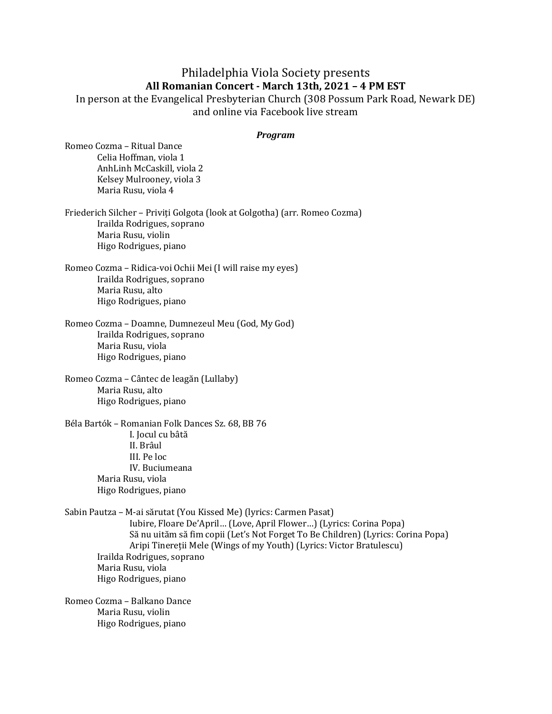## Philadelphia Viola Society presents **All Romanian Concert - March 13th, 2021 – 4 PM EST**

In person at the Evangelical Presbyterian Church (308 Possum Park Road, Newark DE) and online via Facebook live stream

## *Program*

Romeo Cozma – Ritual Dance Celia Hoffman, viola 1 AnhLinh McCaskill, viola 2 Kelsey Mulrooney, viola 3 Maria Rusu, viola 4

Friederich Silcher - Priviți Golgota (look at Golgotha) (arr. Romeo Cozma) Irailda Rodrigues, soprano Maria Rusu, violin Higo Rodrigues, piano

Romeo Cozma - Ridica-voi Ochii Mei (I will raise my eyes) Irailda Rodrigues, soprano Maria Rusu, alto Higo Rodrigues, piano

Romeo Cozma - Doamne, Dumnezeul Meu (God, My God) Irailda Rodrigues, soprano Maria Rusu, viola Higo Rodrigues, piano

Romeo Cozma – Cântec de leagăn (Lullaby) Maria Rusu, alto Higo Rodrigues, piano

Béla Bartók – Romanian Folk Dances Sz. 68, BB 76 I. Jocul cu bâtă II. Brâul III. Pe loc IV. Buciumeana Maria Rusu, viola Higo Rodrigues, piano

Sabin Pautza - M-ai sărutat (You Kissed Me) (lyrics: Carmen Pasat) Iubire, Floare De'April... (Love, April Flower...) (Lyrics: Corina Popa) Să nu uităm să fim copii (Let's Not Forget To Be Children) (Lyrics: Corina Popa) Aripi Tinereții Mele (Wings of my Youth) (Lyrics: Victor Bratulescu) Irailda Rodrigues, soprano Maria Rusu, viola Higo Rodrigues, piano

Romeo Cozma - Balkano Dance Maria Rusu, violin Higo Rodrigues, piano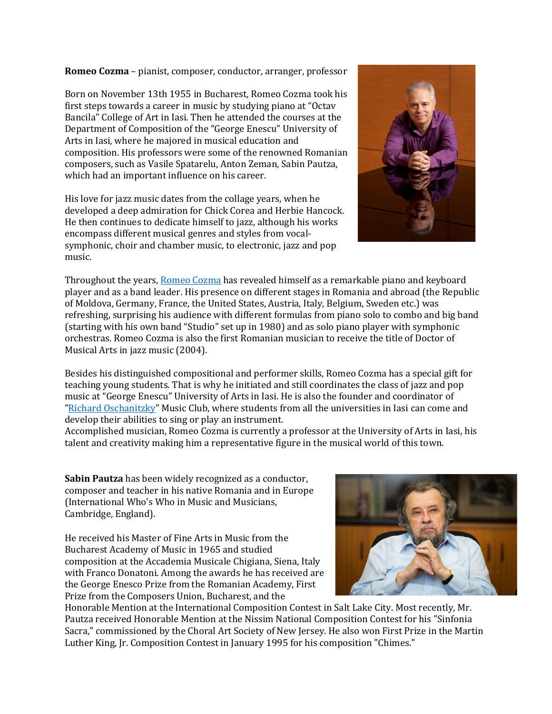**Romeo Cozma** – pianist, composer, conductor, arranger, professor

Born on November 13th 1955 in Bucharest, Romeo Cozma took his first steps towards a career in music by studying piano at "Octav" Bancila" College of Art in Iasi. Then he attended the courses at the Department of Composition of the "George Enescu" University of Arts in Iasi, where he majored in musical education and composition. His professors were some of the renowned Romanian composers, such as Vasile Spatarelu, Anton Zeman, Sabin Pautza, which had an important influence on his career.

His love for jazz music dates from the collage years, when he developed a deep admiration for Chick Corea and Herbie Hancock. He then continues to dedicate himself to jazz, although his works encompass different musical genres and styles from vocalsymphonic, choir and chamber music, to electronic, jazz and pop music.



Throughout the years, Romeo Cozma has revealed himself as a remarkable piano and keyboard player and as a band leader. His presence on different stages in Romania and abroad (the Republic of Moldova, Germany, France, the United States, Austria, Italy, Belgium, Sweden etc.) was refreshing, surprising his audience with different formulas from piano solo to combo and big band (starting with his own band "Studio" set up in 1980) and as solo piano player with symphonic orchestras. Romeo Cozma is also the first Romanian musician to receive the title of Doctor of Musical Arts in jazz music (2004).

Besides his distinguished compositional and performer skills, Romeo Cozma has a special gift for teaching young students. That is why he initiated and still coordinates the class of jazz and pop music at "George Enescu" University of Arts in Iasi. He is also the founder and coordinator of "Richard Oschanitzky" Music Club, where students from all the universities in Iasi can come and develop their abilities to sing or play an instrument.

Accomplished musician, Romeo Cozma is currently a professor at the University of Arts in Iasi, his talent and creativity making him a representative figure in the musical world of this town.

**Sabin Pautza** has been widely recognized as a conductor, composer and teacher in his native Romania and in Europe (International Who's Who in Music and Musicians, Cambridge, England).

He received his Master of Fine Arts in Music from the Bucharest Academy of Music in 1965 and studied composition at the Accademia Musicale Chigiana, Siena, Italy with Franco Donatoni. Among the awards he has received are the George Enesco Prize from the Romanian Academy, First Prize from the Composers Union, Bucharest, and the



Honorable Mention at the International Composition Contest in Salt Lake City. Most recently, Mr. Pautza received Honorable Mention at the Nissim National Composition Contest for his "Sinfonia Sacra," commissioned by the Choral Art Society of New Jersey. He also won First Prize in the Martin Luther King, Ir. Composition Contest in January 1995 for his composition "Chimes."